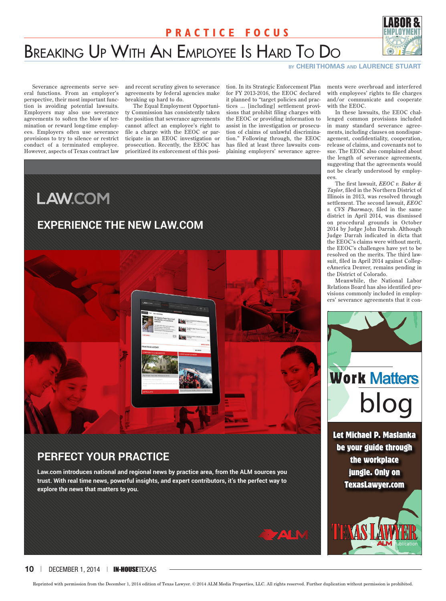## **Practice Focus**



# Breaking Up With An Employee Is Hard To Do

#### **by CHERI THOMAS and LAURENCE STUART**

Severance agreements serve several functions. From an employer's perspective, their most important function is avoiding potential lawsuits. Employers may also use severance agreements to soften the blow of termination or reward long-time employees. Employers often use severance provisions to try to silence or restrict conduct of a terminated employee. However, aspects of Texas contract law

and recent scrutiny given to severance agreements by federal agencies make breaking up hard to do.

The Equal Employment Opportunity Commission has consistently taken the position that severance agreements cannot affect an employee's right to file a charge with the EEOC or participate in an EEOC investigation or prosecution. Recently, the EEOC has prioritized its enforcement of this position. In its Strategic Enforcement Plan for FY 2013-2016, the EEOC declared it planned to "target policies and practices ... [including] settlement provisions that prohibit filing charges with the EEOC or providing information to assist in the investigation or prosecution of claims of unlawful discrimination." Following through, the EEOC has filed at least three lawsuits complaining employers' severance agree-



## **Perfect Your PrActice**

**Law.com introduces national and regional news by practice area, from the ALM sources you trust. With real time news, powerful insights, and expert contributors, it's the perfect way to explore the news that matters to you.**





In these lawsuits, the EEOC challenged common provisions included in many standard severance agreements, including clauses on nondisparagement, confidentiality, cooperation, release of claims, and covenants not to sue. The EEOC also complained about the length of severance agreements, suggesting that the agreements would not be clearly understood by employees.

The first lawsuit, *EEOC v. Baker & Taylor*, filed in the Northern District of Illinois in 2013, was resolved through settlement. The second lawsuit, *EEOC v. CVS Pharmacy*, filed in the same district in April 2014, was dismissed on procedural grounds in October 2014 by Judge John Darrah. Although Judge Darrah indicated in dicta that the EEOC's claims were without merit, the EEOC's challenges have yet to be resolved on the merits. The third lawsuit, filed in April 2014 against CollegeAmerica Denver, remains pending in the District of Colorado.

Meanwhile, the National Labor Relations Board has also identified provisions commonly included in employers' severance agreements that it con-



Let Michael P. Maslanka be your guide through the workplace jungle. Only on TexasLawyer.com